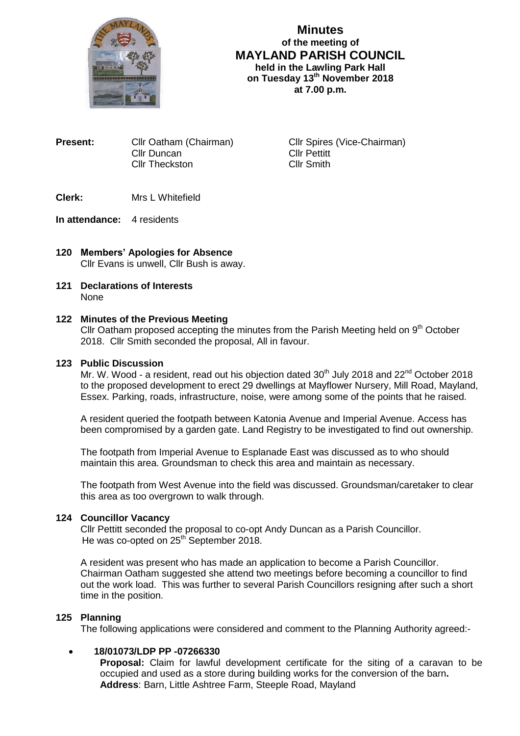

**Minutes of the meeting of MAYLAND PARISH COUNCIL held in the Lawling Park Hall on Tuesday 13th November 2018 at 7.00 p.m.**

**Present:** Cllr Oatham (Chairman) Cllr Spires (Vice-Chairman) Cllr Duncan Cllr Pettitt Cllr Theckston Cllr Smith

- **Clerk:** Mrs L Whitefield
- **In attendance:** 4 residents
- **120 Members' Apologies for Absence** Cllr Evans is unwell, Cllr Bush is away.
- **121 Declarations of Interests** None

## **122 Minutes of the Previous Meeting**

Cllr Oatham proposed accepting the minutes from the Parish Meeting held on  $9<sup>th</sup>$  October 2018. Cllr Smith seconded the proposal, All in favour.

## **123 Public Discussion**

Mr. W. Wood - a resident, read out his objection dated  $30<sup>th</sup>$  July 2018 and  $22<sup>nd</sup>$  October 2018 to the proposed development to erect 29 dwellings at Mayflower Nursery, Mill Road, Mayland, Essex. Parking, roads, infrastructure, noise, were among some of the points that he raised.

A resident queried the footpath between Katonia Avenue and Imperial Avenue. Access has been compromised by a garden gate. Land Registry to be investigated to find out ownership.

The footpath from Imperial Avenue to Esplanade East was discussed as to who should maintain this area. Groundsman to check this area and maintain as necessary.

The footpath from West Avenue into the field was discussed. Groundsman/caretaker to clear this area as too overgrown to walk through.

## **124 Councillor Vacancy**

Cllr Pettitt seconded the proposal to co-opt Andy Duncan as a Parish Councillor. He was co-opted on 25<sup>th</sup> September 2018.

A resident was present who has made an application to become a Parish Councillor. Chairman Oatham suggested she attend two meetings before becoming a councillor to find out the work load. This was further to several Parish Councillors resigning after such a short time in the position.

## **125 Planning**

The following applications were considered and comment to the Planning Authority agreed:-

## **18/01073/LDP PP -07266330**

 **Proposal:** Claim for lawful development certificate for the siting of a caravan to be occupied and used as a store during building works for the conversion of the barn**. Address**: Barn, Little Ashtree Farm, Steeple Road, Mayland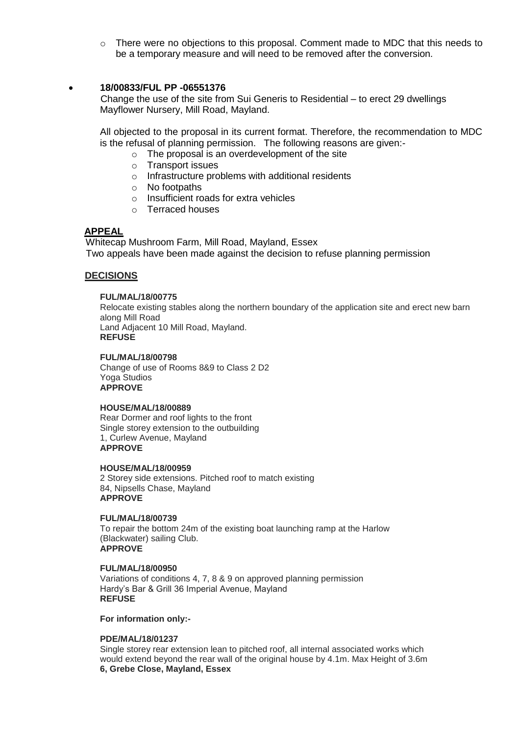o There were no objections to this proposal. Comment made to MDC that this needs to be a temporary measure and will need to be removed after the conversion.

## **18/00833/FUL PP -06551376**

 Change the use of the site from Sui Generis to Residential – to erect 29 dwellings Mayflower Nursery, Mill Road, Mayland.

All objected to the proposal in its current format. Therefore, the recommendation to MDC is the refusal of planning permission. The following reasons are given:-

- o The proposal is an overdevelopment of the site
- o Transport issues
- o Infrastructure problems with additional residents
- o No footpaths
- o Insufficient roads for extra vehicles
- o Terraced houses

## **APPEAL**

 Whitecap Mushroom Farm, Mill Road, Mayland, Essex Two appeals have been made against the decision to refuse planning permission

## **DECISIONS**

#### **FUL/MAL/18/00775**

Relocate existing stables along the northern boundary of the application site and erect new barn along Mill Road Land Adjacent 10 Mill Road, Mayland. **REFUSE**

#### **FUL/MAL/18/00798**

Change of use of Rooms 8&9 to Class 2 D2 Yoga Studios **APPROVE**

#### **HOUSE/MAL/18/00889**

Rear Dormer and roof lights to the front Single storey extension to the outbuilding 1, Curlew Avenue, Mayland **APPROVE**

#### **HOUSE/MAL/18/00959**

2 Storey side extensions. Pitched roof to match existing 84, Nipsells Chase, Mayland **APPROVE**

## **FUL/MAL/18/00739**

To repair the bottom 24m of the existing boat launching ramp at the Harlow (Blackwater) sailing Club. **APPROVE**

#### **FUL/MAL/18/00950**

Variations of conditions 4, 7, 8 & 9 on approved planning permission Hardy's Bar & Grill 36 Imperial Avenue, Mayland **REFUSE**

**For information only:-**

#### **PDE/MAL/18/01237**

Single storey rear extension lean to pitched roof, all internal associated works which would extend beyond the rear wall of the original house by 4.1m. Max Height of 3.6m **6, Grebe Close, Mayland, Essex**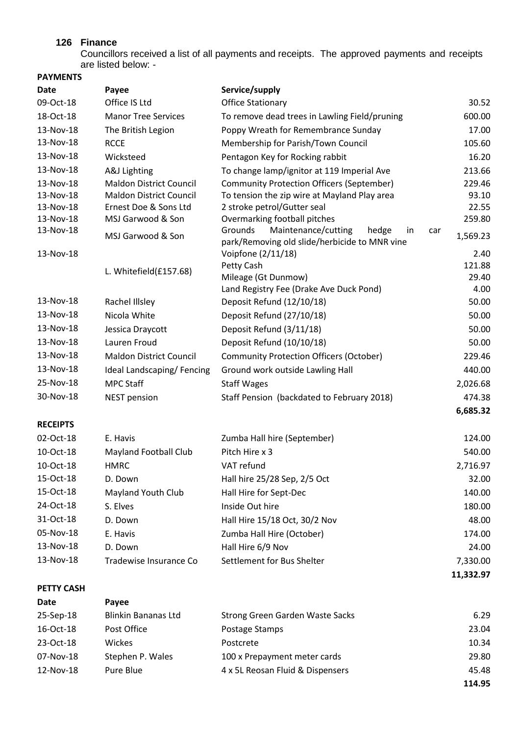# **126 Finance**

Councillors received a list of all payments and receipts. The approved payments and receipts are listed below: -

| <b>PAYMENTS</b>   |                                |                                                                                                |                 |
|-------------------|--------------------------------|------------------------------------------------------------------------------------------------|-----------------|
| <b>Date</b>       | Payee                          | Service/supply                                                                                 |                 |
| 09-Oct-18         | Office IS Ltd                  | <b>Office Stationary</b>                                                                       | 30.52           |
| 18-Oct-18         | <b>Manor Tree Services</b>     | To remove dead trees in Lawling Field/pruning                                                  | 600.00          |
| 13-Nov-18         | The British Legion             | Poppy Wreath for Remembrance Sunday                                                            | 17.00           |
| 13-Nov-18         | <b>RCCE</b>                    | Membership for Parish/Town Council                                                             | 105.60          |
| 13-Nov-18         | Wicksteed                      | Pentagon Key for Rocking rabbit                                                                | 16.20           |
| 13-Nov-18         | A&J Lighting                   | To change lamp/ignitor at 119 Imperial Ave                                                     | 213.66          |
| 13-Nov-18         | <b>Maldon District Council</b> | <b>Community Protection Officers (September)</b>                                               | 229.46          |
| 13-Nov-18         | <b>Maldon District Council</b> | To tension the zip wire at Mayland Play area                                                   | 93.10           |
| 13-Nov-18         | Ernest Doe & Sons Ltd          | 2 stroke petrol/Gutter seal                                                                    | 22.55           |
| 13-Nov-18         | MSJ Garwood & Son              | Overmarking football pitches                                                                   | 259.80          |
| 13-Nov-18         | MSJ Garwood & Son              | Grounds<br>Maintenance/cutting<br>hedge<br>in<br>park/Removing old slide/herbicide to MNR vine | car<br>1,569.23 |
| 13-Nov-18         |                                | Voipfone (2/11/18)                                                                             | 2.40            |
|                   |                                | Petty Cash                                                                                     | 121.88          |
|                   | L. Whitefield(£157.68)         | Mileage (Gt Dunmow)                                                                            | 29.40           |
|                   |                                | Land Registry Fee (Drake Ave Duck Pond)                                                        | 4.00            |
| 13-Nov-18         | Rachel Illsley                 | Deposit Refund (12/10/18)                                                                      | 50.00           |
| 13-Nov-18         | Nicola White                   | Deposit Refund (27/10/18)                                                                      | 50.00           |
| 13-Nov-18         | Jessica Draycott               | Deposit Refund (3/11/18)                                                                       | 50.00           |
| 13-Nov-18         | Lauren Froud                   | Deposit Refund (10/10/18)                                                                      | 50.00           |
| 13-Nov-18         | <b>Maldon District Council</b> | <b>Community Protection Officers (October)</b>                                                 | 229.46          |
| 13-Nov-18         | Ideal Landscaping/Fencing      | Ground work outside Lawling Hall                                                               | 440.00          |
| 25-Nov-18         | <b>MPC Staff</b>               | <b>Staff Wages</b>                                                                             | 2,026.68        |
| 30-Nov-18         | <b>NEST pension</b>            | Staff Pension (backdated to February 2018)                                                     | 474.38          |
|                   |                                |                                                                                                | 6,685.32        |
| <b>RECEIPTS</b>   |                                |                                                                                                |                 |
| 02-Oct-18         | E. Havis                       | Zumba Hall hire (September)                                                                    | 124.00          |
| 10-Oct-18         | <b>Mayland Football Club</b>   | Pitch Hire x 3                                                                                 | 540.00          |
| 10-Oct-18         | <b>HMRC</b>                    | VAT refund                                                                                     | 2,716.97        |
| 15-Oct-18         | D. Down                        | Hall hire 25/28 Sep, 2/5 Oct                                                                   | 32.00           |
| 15-Oct-18         | <b>Mayland Youth Club</b>      | Hall Hire for Sept-Dec                                                                         | 140.00          |
| 24-Oct-18         | S. Elves                       | Inside Out hire                                                                                | 180.00          |
| 31-Oct-18         | D. Down                        | Hall Hire 15/18 Oct, 30/2 Nov                                                                  | 48.00           |
| 05-Nov-18         | E. Havis                       | Zumba Hall Hire (October)                                                                      | 174.00          |
| 13-Nov-18         | D. Down                        | Hall Hire 6/9 Nov                                                                              | 24.00           |
| 13-Nov-18         | Tradewise Insurance Co         | Settlement for Bus Shelter                                                                     | 7,330.00        |
|                   |                                |                                                                                                | 11,332.97       |
| <b>PETTY CASH</b> |                                |                                                                                                |                 |
| Date              | Payee                          |                                                                                                |                 |
| 25-Sep-18         | <b>Blinkin Bananas Ltd</b>     | Strong Green Garden Waste Sacks                                                                | 6.29            |

| 25-Sep-18              | Blinkin Bananas Ltd              | Strong Green Garden Waste Sacks | 6.29   |
|------------------------|----------------------------------|---------------------------------|--------|
| 16-Oct-18              | Post Office                      | Postage Stamps                  | 23.04  |
| 23-Oct-18              | <b>Wickes</b>                    | Postcrete                       | 10.34  |
| 07-Nov-18              | Stephen P. Wales                 | 100 x Prepayment meter cards    | 29.80  |
| 12-Nov-18<br>Pure Blue | 4 x 5L Reosan Fluid & Dispensers | 45.48                           |        |
|                        |                                  |                                 | 114.95 |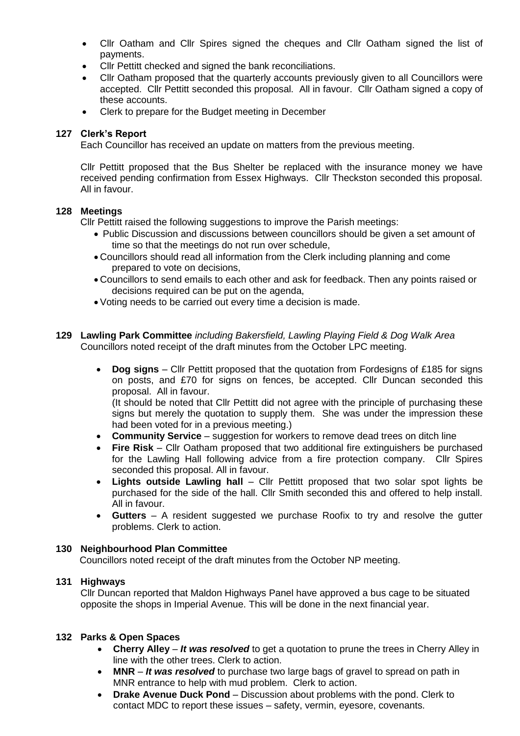- Cllr Oatham and Cllr Spires signed the cheques and Cllr Oatham signed the list of payments.
- Cllr Pettitt checked and signed the bank reconciliations.
- Cllr Oatham proposed that the quarterly accounts previously given to all Councillors were accepted. Cllr Pettitt seconded this proposal. All in favour. Cllr Oatham signed a copy of these accounts.
- Clerk to prepare for the Budget meeting in December

# **127 Clerk's Report**

Each Councillor has received an update on matters from the previous meeting.

Cllr Pettitt proposed that the Bus Shelter be replaced with the insurance money we have received pending confirmation from Essex Highways. Cllr Theckston seconded this proposal. All in favour.

## **128 Meetings**

Cllr Pettitt raised the following suggestions to improve the Parish meetings:

- Public Discussion and discussions between councillors should be given a set amount of time so that the meetings do not run over schedule,
- Councillors should read all information from the Clerk including planning and come prepared to vote on decisions,
- Councillors to send emails to each other and ask for feedback. Then any points raised or decisions required can be put on the agenda,
- Voting needs to be carried out every time a decision is made.
- **129 Lawling Park Committee** *including Bakersfield, Lawling Playing Field & Dog Walk Area* Councillors noted receipt of the draft minutes from the October LPC meeting.
	- **Dog signs** Cllr Pettitt proposed that the quotation from Fordesigns of £185 for signs on posts, and £70 for signs on fences, be accepted. Cllr Duncan seconded this proposal. All in favour.

(It should be noted that Cllr Pettitt did not agree with the principle of purchasing these signs but merely the quotation to supply them. She was under the impression these had been voted for in a previous meeting.)

- **Community Service** suggestion for workers to remove dead trees on ditch line
- **Fire Risk** Cllr Oatham proposed that two additional fire extinguishers be purchased for the Lawling Hall following advice from a fire protection company. Cllr Spires seconded this proposal. All in favour.
- **Lights outside Lawling hall**  Cllr Pettitt proposed that two solar spot lights be purchased for the side of the hall. Cllr Smith seconded this and offered to help install. All in favour.
- **Gutters**  A resident suggested we purchase Roofix to try and resolve the gutter problems. Clerk to action.

# **130 Neighbourhood Plan Committee**

Councillors noted receipt of the draft minutes from the October NP meeting.

# **131 Highways**

Cllr Duncan reported that Maldon Highways Panel have approved a bus cage to be situated opposite the shops in Imperial Avenue. This will be done in the next financial year.

## **132 Parks & Open Spaces**

- **Cherry Alley** *It was resolved* to get a quotation to prune the trees in Cherry Alley in line with the other trees. Clerk to action.
- **MNR** *It was resolved* to purchase two large bags of gravel to spread on path in MNR entrance to help with mud problem. Clerk to action.
- **Drake Avenue Duck Pond** Discussion about problems with the pond. Clerk to contact MDC to report these issues – safety, vermin, eyesore, covenants.